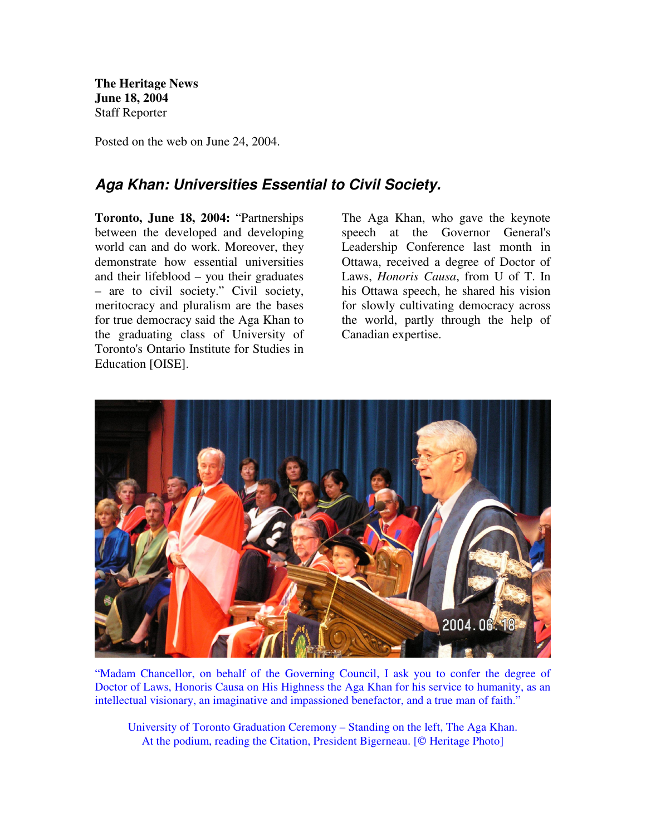**The Heritage News June 18, 2004** Staff Reporter

Posted on the web on June 24, 2004.

## *Aga Khan: Universities Essential to Civil Society.*

**Toronto, June 18, 2004:** "Partnerships between the developed and developing world can and do work. Moreover, they demonstrate how essential universities and their lifeblood – you their graduates – are to civil society." Civil society, meritocracy and pluralism are the bases for true democracy said the Aga Khan to the graduating class of University of Toronto's Ontario Institute for Studies in Education [OISE].

The Aga Khan, who gave the keynote speech at the Governor General's Leadership Conference last month in Ottawa, received a degree of Doctor of Laws, *Honoris Causa*, from U of T. In his Ottawa speech, he shared his vision for slowly cultivating democracy across the world, partly through the help of Canadian expertise.



"Madam Chancellor, on behalf of the Governing Council, I ask you to confer the degree of Doctor of Laws, Honoris Causa on His Highness the Aga Khan for his service to humanity, as an intellectual visionary, an imaginative and impassioned benefactor, and a true man of faith."

University of Toronto Graduation Ceremony – Standing on the left, The Aga Khan. At the podium, reading the Citation, President Bigerneau. [© Heritage Photo]